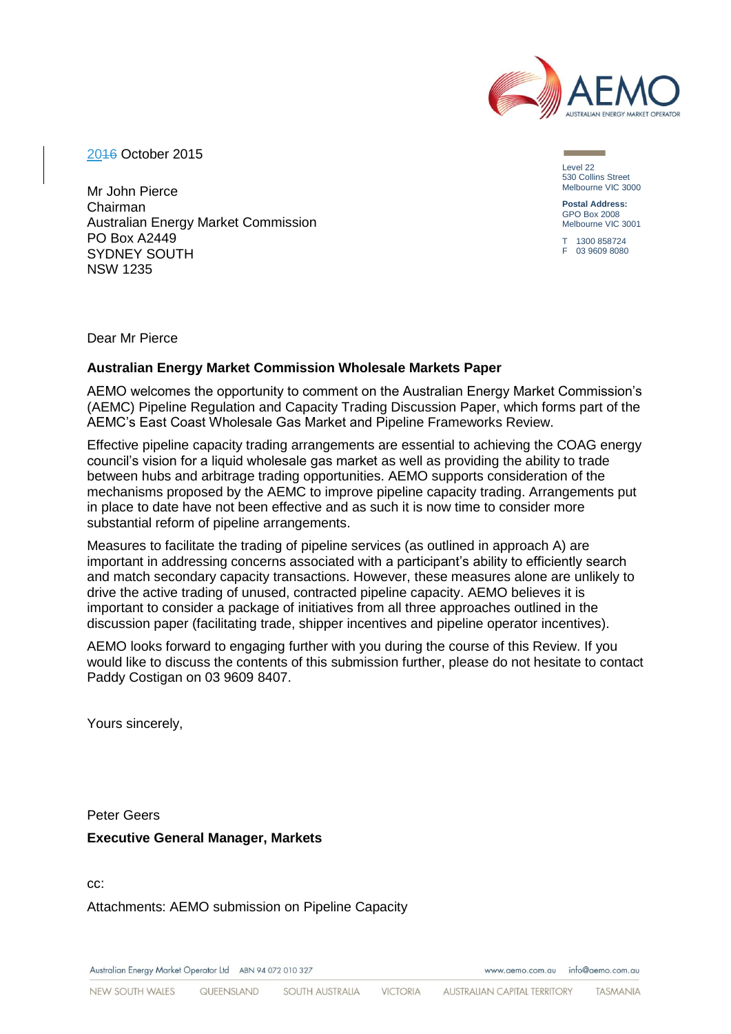

2016 October 2015

Mr John Pierce Chairman Australian Energy Market Commission PO Box A2449 SYDNEY SOUTH NSW 1235

Level 22 530 Collins Street Melbourne VIC 3000

**Postal Address:** GPO Box 2008 Melbourne VIC 3001

T 1300 858724 F 03 9609 8080

Dear Mr Pierce

## **Australian Energy Market Commission Wholesale Markets Paper**

AEMO welcomes the opportunity to comment on the Australian Energy Market Commission's (AEMC) Pipeline Regulation and Capacity Trading Discussion Paper, which forms part of the AEMC's East Coast Wholesale Gas Market and Pipeline Frameworks Review.

Effective pipeline capacity trading arrangements are essential to achieving the COAG energy council's vision for a liquid wholesale gas market as well as providing the ability to trade between hubs and arbitrage trading opportunities. AEMO supports consideration of the mechanisms proposed by the AEMC to improve pipeline capacity trading. Arrangements put in place to date have not been effective and as such it is now time to consider more substantial reform of pipeline arrangements.

Measures to facilitate the trading of pipeline services (as outlined in approach A) are important in addressing concerns associated with a participant's ability to efficiently search and match secondary capacity transactions. However, these measures alone are unlikely to drive the active trading of unused, contracted pipeline capacity. AEMO believes it is important to consider a package of initiatives from all three approaches outlined in the discussion paper (facilitating trade, shipper incentives and pipeline operator incentives).

AEMO looks forward to engaging further with you during the course of this Review. If you would like to discuss the contents of this submission further, please do not hesitate to contact Paddy Costigan on 03 9609 8407.

Yours sincerely,

Peter Geers **Executive General Manager, Markets**

cc:

Attachments: AEMO submission on Pipeline Capacity

Australian Energy Market Operator Ltd ABN 94 072 010 327

www.gemo.com.gu info@gemo.com.gu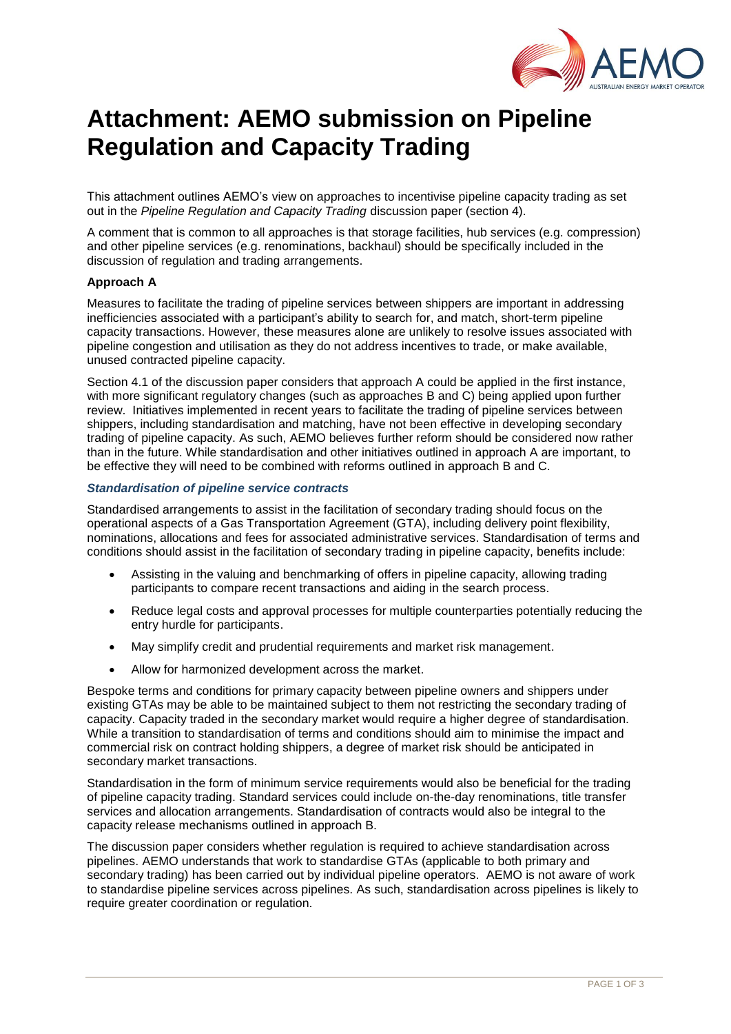

# **Attachment: AEMO submission on Pipeline Regulation and Capacity Trading**

This attachment outlines AEMO's view on approaches to incentivise pipeline capacity trading as set out in the *Pipeline Regulation and Capacity Trading* discussion paper (section 4).

A comment that is common to all approaches is that storage facilities, hub services (e.g. compression) and other pipeline services (e.g. renominations, backhaul) should be specifically included in the discussion of regulation and trading arrangements.

#### **Approach A**

Measures to facilitate the trading of pipeline services between shippers are important in addressing inefficiencies associated with a participant's ability to search for, and match, short-term pipeline capacity transactions. However, these measures alone are unlikely to resolve issues associated with pipeline congestion and utilisation as they do not address incentives to trade, or make available, unused contracted pipeline capacity.

Section 4.1 of the discussion paper considers that approach A could be applied in the first instance, with more significant regulatory changes (such as approaches B and C) being applied upon further review. Initiatives implemented in recent years to facilitate the trading of pipeline services between shippers, including standardisation and matching, have not been effective in developing secondary trading of pipeline capacity. As such, AEMO believes further reform should be considered now rather than in the future. While standardisation and other initiatives outlined in approach A are important, to be effective they will need to be combined with reforms outlined in approach B and C.

## *Standardisation of pipeline service contracts*

Standardised arrangements to assist in the facilitation of secondary trading should focus on the operational aspects of a Gas Transportation Agreement (GTA), including delivery point flexibility, nominations, allocations and fees for associated administrative services. Standardisation of terms and conditions should assist in the facilitation of secondary trading in pipeline capacity, benefits include:

- Assisting in the valuing and benchmarking of offers in pipeline capacity, allowing trading participants to compare recent transactions and aiding in the search process.
- Reduce legal costs and approval processes for multiple counterparties potentially reducing the entry hurdle for participants.
- May simplify credit and prudential requirements and market risk management.
- Allow for harmonized development across the market.

Bespoke terms and conditions for primary capacity between pipeline owners and shippers under existing GTAs may be able to be maintained subject to them not restricting the secondary trading of capacity. Capacity traded in the secondary market would require a higher degree of standardisation. While a transition to standardisation of terms and conditions should aim to minimise the impact and commercial risk on contract holding shippers, a degree of market risk should be anticipated in secondary market transactions.

Standardisation in the form of minimum service requirements would also be beneficial for the trading of pipeline capacity trading. Standard services could include on-the-day renominations, title transfer services and allocation arrangements. Standardisation of contracts would also be integral to the capacity release mechanisms outlined in approach B.

The discussion paper considers whether regulation is required to achieve standardisation across pipelines. AEMO understands that work to standardise GTAs (applicable to both primary and secondary trading) has been carried out by individual pipeline operators. AEMO is not aware of work to standardise pipeline services across pipelines. As such, standardisation across pipelines is likely to require greater coordination or regulation.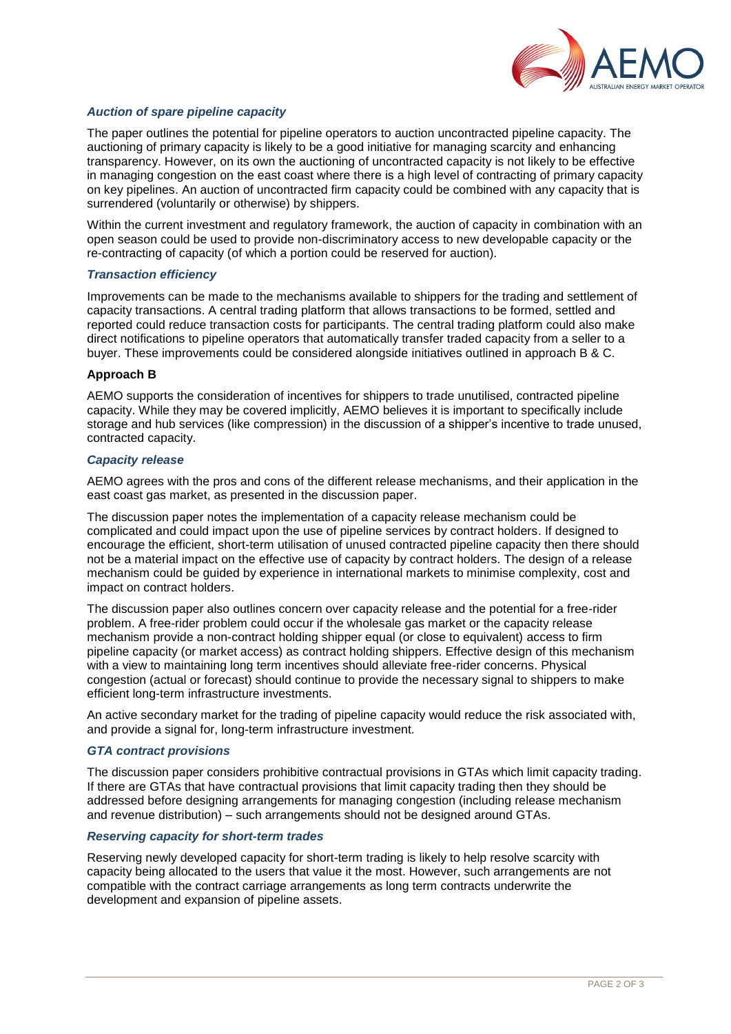

## *Auction of spare pipeline capacity*

The paper outlines the potential for pipeline operators to auction uncontracted pipeline capacity. The auctioning of primary capacity is likely to be a good initiative for managing scarcity and enhancing transparency. However, on its own the auctioning of uncontracted capacity is not likely to be effective in managing congestion on the east coast where there is a high level of contracting of primary capacity on key pipelines. An auction of uncontracted firm capacity could be combined with any capacity that is surrendered (voluntarily or otherwise) by shippers.

Within the current investment and regulatory framework, the auction of capacity in combination with an open season could be used to provide non-discriminatory access to new developable capacity or the re-contracting of capacity (of which a portion could be reserved for auction).

#### *Transaction efficiency*

Improvements can be made to the mechanisms available to shippers for the trading and settlement of capacity transactions. A central trading platform that allows transactions to be formed, settled and reported could reduce transaction costs for participants. The central trading platform could also make direct notifications to pipeline operators that automatically transfer traded capacity from a seller to a buyer. These improvements could be considered alongside initiatives outlined in approach B & C.

#### **Approach B**

AEMO supports the consideration of incentives for shippers to trade unutilised, contracted pipeline capacity. While they may be covered implicitly, AEMO believes it is important to specifically include storage and hub services (like compression) in the discussion of a shipper's incentive to trade unused, contracted capacity.

#### *Capacity release*

AEMO agrees with the pros and cons of the different release mechanisms, and their application in the east coast gas market, as presented in the discussion paper.

The discussion paper notes the implementation of a capacity release mechanism could be complicated and could impact upon the use of pipeline services by contract holders. If designed to encourage the efficient, short-term utilisation of unused contracted pipeline capacity then there should not be a material impact on the effective use of capacity by contract holders. The design of a release mechanism could be guided by experience in international markets to minimise complexity, cost and impact on contract holders.

The discussion paper also outlines concern over capacity release and the potential for a free-rider problem. A free-rider problem could occur if the wholesale gas market or the capacity release mechanism provide a non-contract holding shipper equal (or close to equivalent) access to firm pipeline capacity (or market access) as contract holding shippers. Effective design of this mechanism with a view to maintaining long term incentives should alleviate free-rider concerns. Physical congestion (actual or forecast) should continue to provide the necessary signal to shippers to make efficient long-term infrastructure investments.

An active secondary market for the trading of pipeline capacity would reduce the risk associated with, and provide a signal for, long-term infrastructure investment.

## *GTA contract provisions*

The discussion paper considers prohibitive contractual provisions in GTAs which limit capacity trading. If there are GTAs that have contractual provisions that limit capacity trading then they should be addressed before designing arrangements for managing congestion (including release mechanism and revenue distribution) – such arrangements should not be designed around GTAs.

#### *Reserving capacity for short-term trades*

Reserving newly developed capacity for short-term trading is likely to help resolve scarcity with capacity being allocated to the users that value it the most. However, such arrangements are not compatible with the contract carriage arrangements as long term contracts underwrite the development and expansion of pipeline assets.